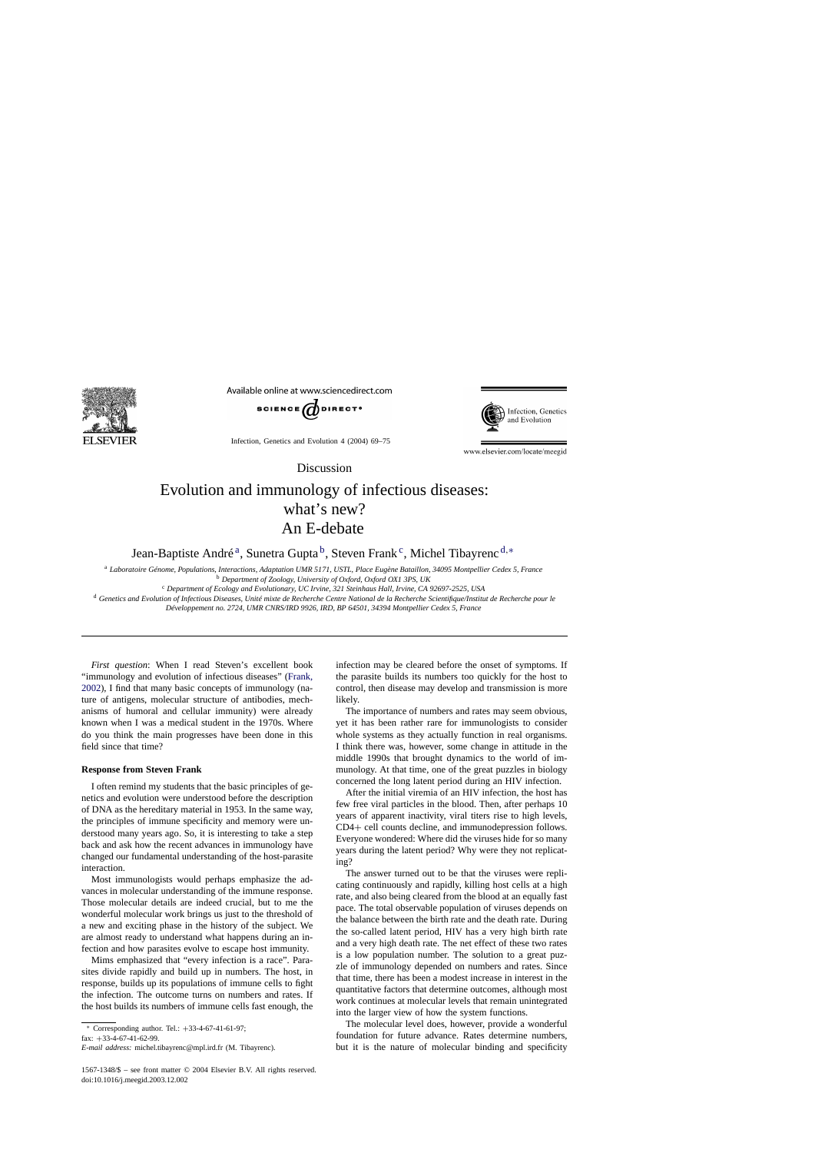

Available online at www.sciencedirect.com



Infection, Genetics and Evolution 4 (2004) 69–75

Discussion



www.elsevier.com/locate/meegid

# Evolution and immunology of infectious diseases: what's new? An E-debate

Jean-Baptiste André<sup>a</sup>, Sunetra Gupta<sup>b</sup>, Steven Frank<sup>c</sup>, Michel Tibayrenc<sup>d,∗</sup>

<sup>a</sup> *Laboratoire Génome, Populations, Interactions, Adaptation UMR 5171, USTL, Place Eugène Bataillon, 34095 Montpellier Cedex 5, France*

<sup>b</sup> *Department of Zoology, University of Oxford, Oxford OX1 3PS, UK*

<sup>c</sup> *Department of Ecology and Evolutionary, UC Irvine, 321 Steinhaus Hall, Irvine, CA 92697-2525, USA*

<sup>d</sup> *Genetics and Evolution of Infectious Diseases, Unité mixte de Recherche Centre National de la Recherche Scientifique/Institut de Recherche pour le Développement no. 2724, UMR CNRS/IRD 9926, IRD, BP 64501, 34394 Montpellier Cedex 5, France*

*First question*: When I read Steven's excellent book "immunology and evolution of infectious diseases" ([Frank,](#page-6-0) [2002\),](#page-6-0) I find that many basic concepts of immunology (nature of antigens, molecular structure of antibodies, mechanisms of humoral and cellular immunity) were already known when I was a medical student in the 1970s. Where do you think the main progresses have been done in this field since that time?

## **Response from Steven Frank**

I often remind my students that the basic principles of genetics and evolution were understood before the description of DNA as the hereditary material in 1953. In the same way, the principles of immune specificity and memory were understood many years ago. So, it is interesting to take a step back and ask how the recent advances in immunology have changed our fundamental understanding of the host-parasite interaction.

Most immunologists would perhaps emphasize the advances in molecular understanding of the immune response. Those molecular details are indeed crucial, but to me the wonderful molecular work brings us just to the threshold of a new and exciting phase in the history of the subject. We are almost ready to understand what happens during an infection and how parasites evolve to escape host immunity.

Mims emphasized that "every infection is a race". Parasites divide rapidly and build up in numbers. The host, in response, builds up its populations of immune cells to fight the infection. The outcome turns on numbers and rates. If the host builds its numbers of immune cells fast enough, the

infection may be cleared before the onset of symptoms. If the parasite builds its numbers too quickly for the host to control, then disease may develop and transmission is more likely.

The importance of numbers and rates may seem obvious, yet it has been rather rare for immunologists to consider whole systems as they actually function in real organisms. I think there was, however, some change in attitude in the middle 1990s that brought dynamics to the world of immunology. At that time, one of the great puzzles in biology concerned the long latent period during an HIV infection.

After the initial viremia of an HIV infection, the host has few free viral particles in the blood. Then, after perhaps 10 years of apparent inactivity, viral titers rise to high levels, CD4+ cell counts decline, and immunodepression follows. Everyone wondered: Where did the viruses hide for so many years during the latent period? Why were they not replicating?

The answer turned out to be that the viruses were replicating continuously and rapidly, killing host cells at a high rate, and also being cleared from the blood at an equally fast pace. The total observable population of viruses depends on the balance between the birth rate and the death rate. During the so-called latent period, HIV has a very high birth rate and a very high death rate. The net effect of these two rates is a low population number. The solution to a great puzzle of immunology depended on numbers and rates. Since that time, there has been a modest increase in interest in the quantitative factors that determine outcomes, although most work continues at molecular levels that remain unintegrated into the larger view of how the system functions.

The molecular level does, however, provide a wonderful foundation for future advance. Rates determine numbers, but it is the nature of molecular binding and specificity

<sup>∗</sup> Corresponding author. Tel.: +33-4-67-41-61-97;

fax: +33-4-67-41-62-99.

*E-mail address:* michel.tibayrenc@mpl.ird.fr (M. Tibayrenc).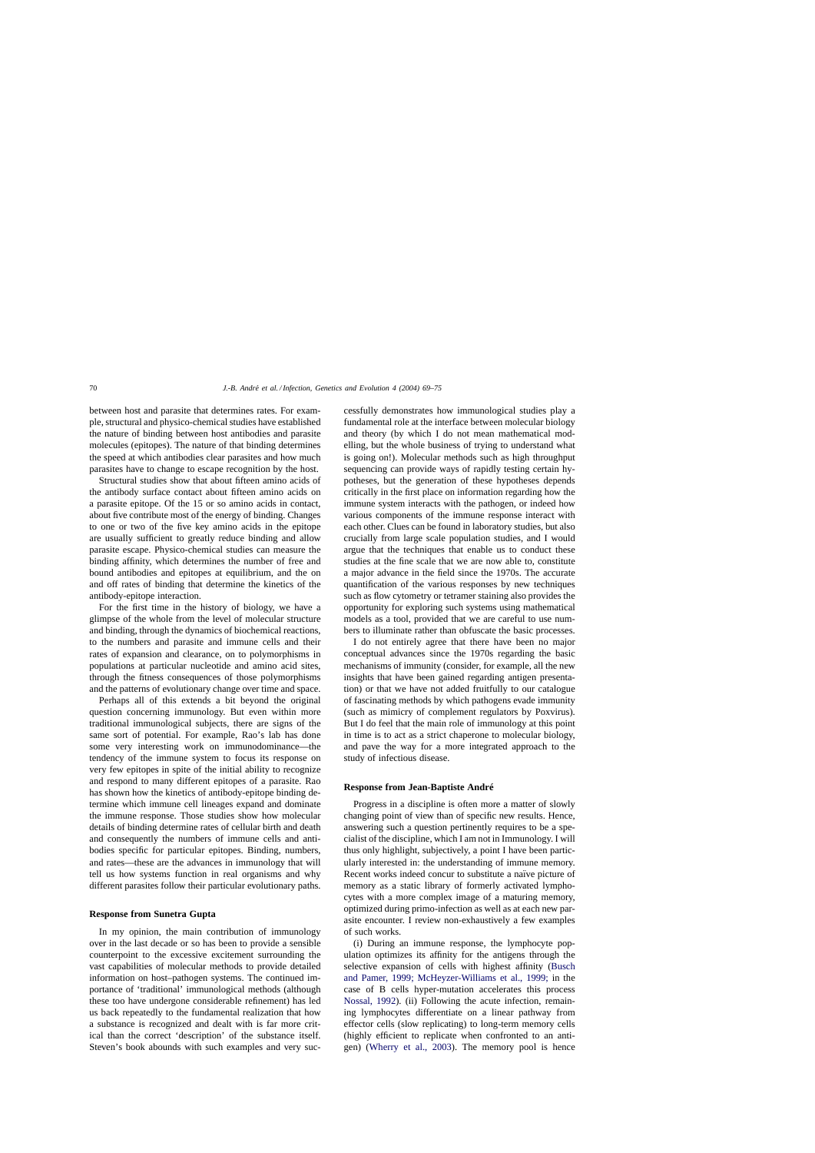between host and parasite that determines rates. For example, structural and physico-chemical studies have established the nature of binding between host antibodies and parasite molecules (epitopes). The nature of that binding determines the speed at which antibodies clear parasites and how much parasites have to change to escape recognition by the host.

Structural studies show that about fifteen amino acids of the antibody surface contact about fifteen amino acids on a parasite epitope. Of the 15 or so amino acids in contact, about five contribute most of the energy of binding. Changes to one or two of the five key amino acids in the epitope are usually sufficient to greatly reduce binding and allow parasite escape. Physico-chemical studies can measure the binding affinity, which determines the number of free and bound antibodies and epitopes at equilibrium, and the on and off rates of binding that determine the kinetics of the antibody-epitope interaction.

For the first time in the history of biology, we have a glimpse of the whole from the level of molecular structure and binding, through the dynamics of biochemical reactions, to the numbers and parasite and immune cells and their rates of expansion and clearance, on to polymorphisms in populations at particular nucleotide and amino acid sites, through the fitness consequences of those polymorphisms and the patterns of evolutionary change over time and space.

Perhaps all of this extends a bit beyond the original question concerning immunology. But even within more traditional immunological subjects, there are signs of the same sort of potential. For example, Rao's lab has done some very interesting work on immunodominance—the tendency of the immune system to focus its response on very few epitopes in spite of the initial ability to recognize and respond to many different epitopes of a parasite. Rao has shown how the kinetics of antibody-epitope binding determine which immune cell lineages expand and dominate the immune response. Those studies show how molecular details of binding determine rates of cellular birth and death and consequently the numbers of immune cells and antibodies specific for particular epitopes. Binding, numbers, and rates—these are the advances in immunology that will tell us how systems function in real organisms and why different parasites follow their particular evolutionary paths.

#### **Response from Sunetra Gupta**

In my opinion, the main contribution of immunology over in the last decade or so has been to provide a sensible counterpoint to the excessive excitement surrounding the vast capabilities of molecular methods to provide detailed information on host–pathogen systems. The continued importance of 'traditional' immunological methods (although these too have undergone considerable refinement) has led us back repeatedly to the fundamental realization that how a substance is recognized and dealt with is far more critical than the correct 'description' of the substance itself. Steven's book abounds with such examples and very successfully demonstrates how immunological studies play a fundamental role at the interface between molecular biology and theory (by which I do not mean mathematical modelling, but the whole business of trying to understand what is going on!). Molecular methods such as high throughput sequencing can provide ways of rapidly testing certain hypotheses, but the generation of these hypotheses depends critically in the first place on information regarding how the immune system interacts with the pathogen, or indeed how various components of the immune response interact with each other. Clues can be found in laboratory studies, but also crucially from large scale population studies, and I would argue that the techniques that enable us to conduct these studies at the fine scale that we are now able to, constitute a major advance in the field since the 1970s. The accurate quantification of the various responses by new techniques such as flow cytometry or tetramer staining also provides the opportunity for exploring such systems using mathematical models as a tool, provided that we are careful to use numbers to illuminate rather than obfuscate the basic processes.

I do not entirely agree that there have been no major conceptual advances since the 1970s regarding the basic mechanisms of immunity (consider, for example, all the new insights that have been gained regarding antigen presentation) or that we have not added fruitfully to our catalogue of fascinating methods by which pathogens evade immunity (such as mimicry of complement regulators by Poxvirus). But I do feel that the main role of immunology at this point in time is to act as a strict chaperone to molecular biology, and pave the way for a more integrated approach to the study of infectious disease.

## **Response from Jean-Baptiste André**

Progress in a discipline is often more a matter of slowly changing point of view than of specific new results. Hence, answering such a question pertinently requires to be a specialist of the discipline, which I am not in Immunology. I will thus only highlight, subjectively, a point I have been particularly interested in: the understanding of immune memory. Recent works indeed concur to substitute a naïve picture of memory as a static library of formerly activated lymphocytes with a more complex image of a maturing memory, optimized during primo-infection as well as at each new parasite encounter. I review non-exhaustively a few examples of such works.

(i) During an immune response, the lymphocyte population optimizes its affinity for the antigens through the selective expansion of cells with highest affinity ([Busch](#page-6-0) [and Pamer, 1999; McHeyzer-Williams et al., 1999;](#page-6-0) in the case of B cells hyper-mutation accelerates this process [Nossal, 1992\).](#page-6-0) (ii) Following the acute infection, remaining lymphocytes differentiate on a linear pathway from effector cells (slow replicating) to long-term memory cells (highly efficient to replicate when confronted to an antigen) ([Wherry et al., 2003](#page-6-0)). The memory pool is hence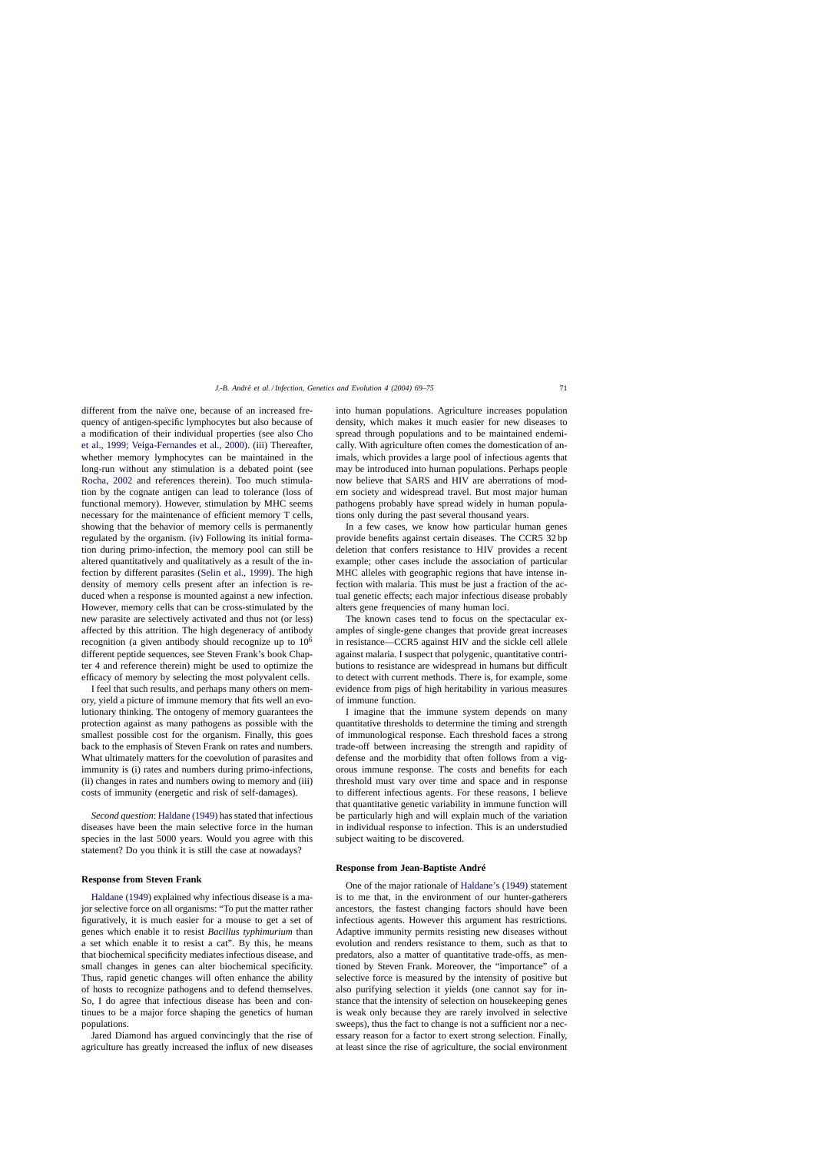different from the naïve one, because of an increased frequency of antigen-specific lymphocytes but also because of a modification of their individual properties (see also [Cho](#page-6-0) [et al., 1999; Veiga-Fernandes et al., 2000\).](#page-6-0) (iii) Thereafter, whether memory lymphocytes can be maintained in the long-run without any stimulation is a debated point (see [Rocha, 2002](#page-6-0) and references therein). Too much stimulation by the cognate antigen can lead to tolerance (loss of functional memory). However, stimulation by MHC seems necessary for the maintenance of efficient memory T cells, showing that the behavior of memory cells is permanently regulated by the organism. (iv) Following its initial formation during primo-infection, the memory pool can still be altered quantitatively and qualitatively as a result of the infection by different parasites ([Selin et al., 1999\).](#page-6-0) The high density of memory cells present after an infection is reduced when a response is mounted against a new infection. However, memory cells that can be cross-stimulated by the new parasite are selectively activated and thus not (or less) affected by this attrition. The high degeneracy of antibody recognition (a given antibody should recognize up to 10<sup>6</sup> different peptide sequences, see Steven Frank's book Chapter 4 and reference therein) might be used to optimize the efficacy of memory by selecting the most polyvalent cells.

I feel that such results, and perhaps many others on memory, yield a picture of immune memory that fits well an evolutionary thinking. The ontogeny of memory guarantees the protection against as many pathogens as possible with the smallest possible cost for the organism. Finally, this goes back to the emphasis of Steven Frank on rates and numbers. What ultimately matters for the coevolution of parasites and immunity is (i) rates and numbers during primo-infections, (ii) changes in rates and numbers owing to memory and (iii) costs of immunity (energetic and risk of self-damages).

*Second question*: [Haldane \(1949\)](#page-6-0) has stated that infectious diseases have been the main selective force in the human species in the last 5000 years. Would you agree with this statement? Do you think it is still the case at nowadays?

## **Response from Steven Frank**

[Haldane \(1949\)](#page-6-0) explained why infectious disease is a major selective force on all organisms: "To put the matter rather figuratively, it is much easier for a mouse to get a set of genes which enable it to resist *Bacillus typhimurium* than a set which enable it to resist a cat". By this, he means that biochemical specificity mediates infectious disease, and small changes in genes can alter biochemical specificity. Thus, rapid genetic changes will often enhance the ability of hosts to recognize pathogens and to defend themselves. So, I do agree that infectious disease has been and continues to be a major force shaping the genetics of human populations.

Jared Diamond has argued convincingly that the rise of agriculture has greatly increased the influx of new diseases

into human populations. Agriculture increases population density, which makes it much easier for new diseases to spread through populations and to be maintained endemically. With agriculture often comes the domestication of animals, which provides a large pool of infectious agents that may be introduced into human populations. Perhaps people now believe that SARS and HIV are aberrations of modern society and widespread travel. But most major human pathogens probably have spread widely in human populations only during the past several thousand years.

In a few cases, we know how particular human genes provide benefits against certain diseases. The CCR5 32 bp deletion that confers resistance to HIV provides a recent example; other cases include the association of particular MHC alleles with geographic regions that have intense infection with malaria. This must be just a fraction of the actual genetic effects; each major infectious disease probably alters gene frequencies of many human loci.

The known cases tend to focus on the spectacular examples of single-gene changes that provide great increases in resistance—CCR5 against HIV and the sickle cell allele against malaria. I suspect that polygenic, quantitative contributions to resistance are widespread in humans but difficult to detect with current methods. There is, for example, some evidence from pigs of high heritability in various measures of immune function.

I imagine that the immune system depends on many quantitative thresholds to determine the timing and strength of immunological response. Each threshold faces a strong trade-off between increasing the strength and rapidity of defense and the morbidity that often follows from a vigorous immune response. The costs and benefits for each threshold must vary over time and space and in response to different infectious agents. For these reasons, I believe that quantitative genetic variability in immune function will be particularly high and will explain much of the variation in individual response to infection. This is an understudied subject waiting to be discovered.

## **Response from Jean-Baptiste André**

One of the major rationale of [Haldane's \(1949\)](#page-6-0) statement is to me that, in the environment of our hunter-gatherers ancestors, the fastest changing factors should have been infectious agents. However this argument has restrictions. Adaptive immunity permits resisting new diseases without evolution and renders resistance to them, such as that to predators, also a matter of quantitative trade-offs, as mentioned by Steven Frank. Moreover, the "importance" of a selective force is measured by the intensity of positive but also purifying selection it yields (one cannot say for instance that the intensity of selection on housekeeping genes is weak only because they are rarely involved in selective sweeps), thus the fact to change is not a sufficient nor a necessary reason for a factor to exert strong selection. Finally, at least since the rise of agriculture, the social environment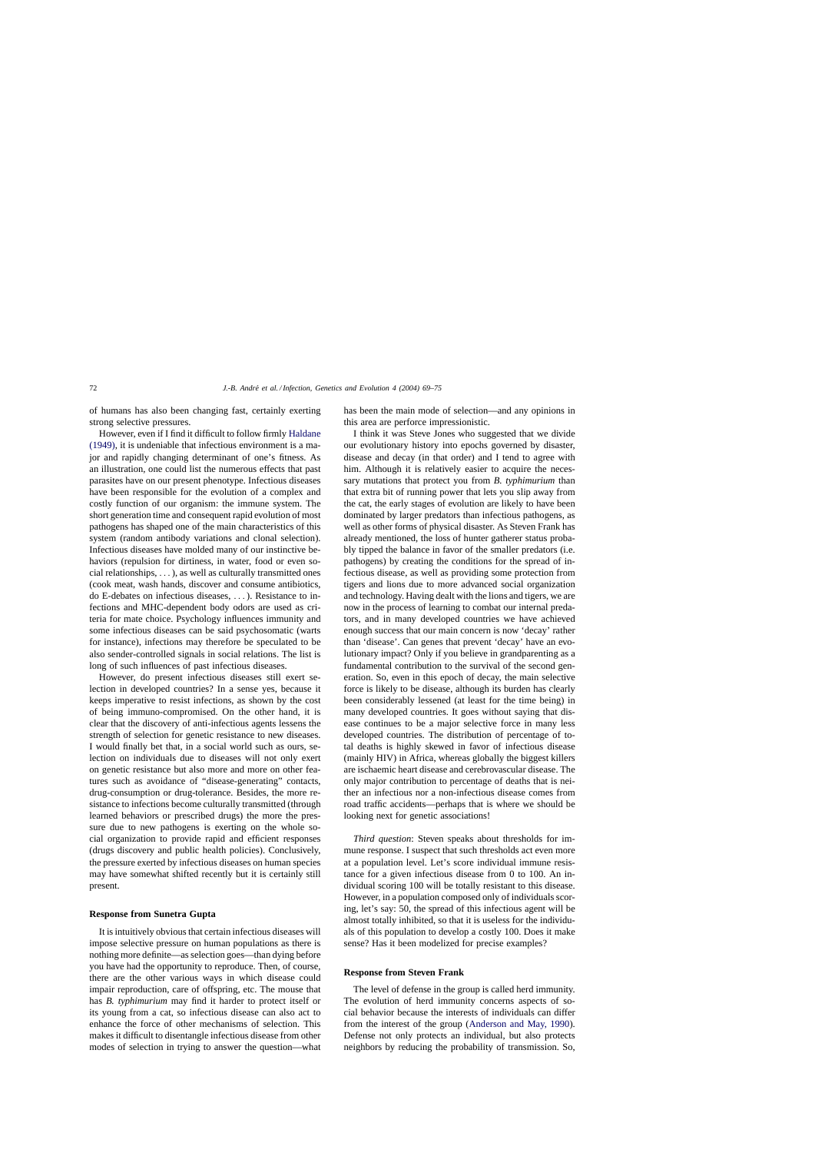of humans has also been changing fast, certainly exerting strong selective pressures.

However, even if I find it difficult to follow firmly [Haldane](#page-6-0) [\(1949\),](#page-6-0) it is undeniable that infectious environment is a major and rapidly changing determinant of one's fitness. As an illustration, one could list the numerous effects that past parasites have on our present phenotype. Infectious diseases have been responsible for the evolution of a complex and costly function of our organism: the immune system. The short generation time and consequent rapid evolution of most pathogens has shaped one of the main characteristics of this system (random antibody variations and clonal selection). Infectious diseases have molded many of our instinctive behaviors (repulsion for dirtiness, in water, food or even social relationships, ... ), as well as culturally transmitted ones (cook meat, wash hands, discover and consume antibiotics, do E-debates on infectious diseases, ... ). Resistance to infections and MHC-dependent body odors are used as criteria for mate choice. Psychology influences immunity and some infectious diseases can be said psychosomatic (warts for instance), infections may therefore be speculated to be also sender-controlled signals in social relations. The list is long of such influences of past infectious diseases.

However, do present infectious diseases still exert selection in developed countries? In a sense yes, because it keeps imperative to resist infections, as shown by the cost of being immuno-compromised. On the other hand, it is clear that the discovery of anti-infectious agents lessens the strength of selection for genetic resistance to new diseases. I would finally bet that, in a social world such as ours, selection on individuals due to diseases will not only exert on genetic resistance but also more and more on other features such as avoidance of "disease-generating" contacts, drug-consumption or drug-tolerance. Besides, the more resistance to infections become culturally transmitted (through learned behaviors or prescribed drugs) the more the pressure due to new pathogens is exerting on the whole social organization to provide rapid and efficient responses (drugs discovery and public health policies). Conclusively, the pressure exerted by infectious diseases on human species may have somewhat shifted recently but it is certainly still present.

#### **Response from Sunetra Gupta**

It is intuitively obvious that certain infectious diseases will impose selective pressure on human populations as there is nothing more definite—as selection goes—than dying before you have had the opportunity to reproduce. Then, of course, there are the other various ways in which disease could impair reproduction, care of offspring, etc. The mouse that has *B. typhimurium* may find it harder to protect itself or its young from a cat, so infectious disease can also act to enhance the force of other mechanisms of selection. This makes it difficult to disentangle infectious disease from other modes of selection in trying to answer the question—what

has been the main mode of selection—and any opinions in this area are perforce impressionistic.

I think it was Steve Jones who suggested that we divide our evolutionary history into epochs governed by disaster, disease and decay (in that order) and I tend to agree with him. Although it is relatively easier to acquire the necessary mutations that protect you from *B. typhimurium* than that extra bit of running power that lets you slip away from the cat, the early stages of evolution are likely to have been dominated by larger predators than infectious pathogens, as well as other forms of physical disaster. As Steven Frank has already mentioned, the loss of hunter gatherer status probably tipped the balance in favor of the smaller predators (i.e. pathogens) by creating the conditions for the spread of infectious disease, as well as providing some protection from tigers and lions due to more advanced social organization and technology. Having dealt with the lions and tigers, we are now in the process of learning to combat our internal predators, and in many developed countries we have achieved enough success that our main concern is now 'decay' rather than 'disease'. Can genes that prevent 'decay' have an evolutionary impact? Only if you believe in grandparenting as a fundamental contribution to the survival of the second generation. So, even in this epoch of decay, the main selective force is likely to be disease, although its burden has clearly been considerably lessened (at least for the time being) in many developed countries. It goes without saying that disease continues to be a major selective force in many less developed countries. The distribution of percentage of total deaths is highly skewed in favor of infectious disease (mainly HIV) in Africa, whereas globally the biggest killers are ischaemic heart disease and cerebrovascular disease. The only major contribution to percentage of deaths that is neither an infectious nor a non-infectious disease comes from road traffic accidents—perhaps that is where we should be looking next for genetic associations!

*Third question*: Steven speaks about thresholds for immune response. I suspect that such thresholds act even more at a population level. Let's score individual immune resistance for a given infectious disease from 0 to 100. An individual scoring 100 will be totally resistant to this disease. However, in a population composed only of individuals scoring, let's say: 50, the spread of this infectious agent will be almost totally inhibited, so that it is useless for the individuals of this population to develop a costly 100. Does it make sense? Has it been modelized for precise examples?

## **Response from Steven Frank**

The level of defense in the group is called herd immunity. The evolution of herd immunity concerns aspects of social behavior because the interests of individuals can differ from the interest of the group ([Anderson and May, 1990\)](#page-6-0). Defense not only protects an individual, but also protects neighbors by reducing the probability of transmission. So,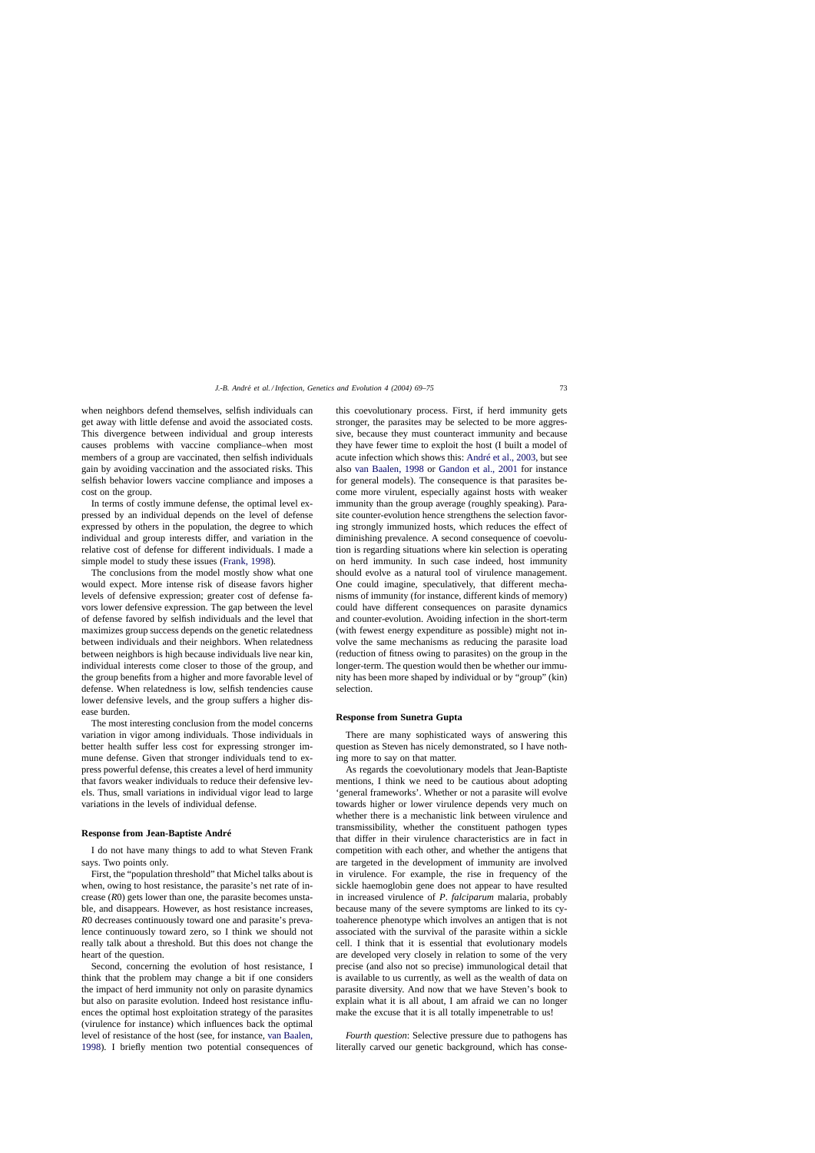when neighbors defend themselves, selfish individuals can get away with little defense and avoid the associated costs. This divergence between individual and group interests causes problems with vaccine compliance–when most members of a group are vaccinated, then selfish individuals gain by avoiding vaccination and the associated risks. This selfish behavior lowers vaccine compliance and imposes a cost on the group.

In terms of costly immune defense, the optimal level expressed by an individual depends on the level of defense expressed by others in the population, the degree to which individual and group interests differ, and variation in the relative cost of defense for different individuals. I made a simple model to study these issues ([Frank, 1998\).](#page-6-0)

The conclusions from the model mostly show what one would expect. More intense risk of disease favors higher levels of defensive expression; greater cost of defense favors lower defensive expression. The gap between the level of defense favored by selfish individuals and the level that maximizes group success depends on the genetic relatedness between individuals and their neighbors. When relatedness between neighbors is high because individuals live near kin, individual interests come closer to those of the group, and the group benefits from a higher and more favorable level of defense. When relatedness is low, selfish tendencies cause lower defensive levels, and the group suffers a higher disease burden.

The most interesting conclusion from the model concerns variation in vigor among individuals. Those individuals in better health suffer less cost for expressing stronger immune defense. Given that stronger individuals tend to express powerful defense, this creates a level of herd immunity that favors weaker individuals to reduce their defensive levels. Thus, small variations in individual vigor lead to large variations in the levels of individual defense.

#### **Response from Jean-Baptiste André**

I do not have many things to add to what Steven Frank says. Two points only.

First, the "population threshold" that Michel talks about is when, owing to host resistance, the parasite's net rate of increase (*R*0) gets lower than one, the parasite becomes unstable, and disappears. However, as host resistance increases, *R*0 decreases continuously toward one and parasite's prevalence continuously toward zero, so I think we should not really talk about a threshold. But this does not change the heart of the question.

Second, concerning the evolution of host resistance, I think that the problem may change a bit if one considers the impact of herd immunity not only on parasite dynamics but also on parasite evolution. Indeed host resistance influences the optimal host exploitation strategy of the parasites (virulence for instance) which influences back the optimal level of resistance of the host (see, for instance, [van Baalen,](#page-6-0) [1998\).](#page-6-0) I briefly mention two potential consequences of this coevolutionary process. First, if herd immunity gets stronger, the parasites may be selected to be more aggressive, because they must counteract immunity and because they have fewer time to exploit the host (I built a model of acute infection which shows this: [André et al., 2003, b](#page-6-0)ut see also [van Baalen, 1998](#page-6-0) or [Gandon et al., 2001](#page-6-0) for instance for general models). The consequence is that parasites become more virulent, especially against hosts with weaker immunity than the group average (roughly speaking). Parasite counter-evolution hence strengthens the selection favoring strongly immunized hosts, which reduces the effect of diminishing prevalence. A second consequence of coevolution is regarding situations where kin selection is operating on herd immunity. In such case indeed, host immunity should evolve as a natural tool of virulence management. One could imagine, speculatively, that different mechanisms of immunity (for instance, different kinds of memory) could have different consequences on parasite dynamics and counter-evolution. Avoiding infection in the short-term (with fewest energy expenditure as possible) might not involve the same mechanisms as reducing the parasite load (reduction of fitness owing to parasites) on the group in the longer-term. The question would then be whether our immunity has been more shaped by individual or by "group" (kin) selection.

#### **Response from Sunetra Gupta**

There are many sophisticated ways of answering this question as Steven has nicely demonstrated, so I have nothing more to say on that matter.

As regards the coevolutionary models that Jean-Baptiste mentions, I think we need to be cautious about adopting 'general frameworks'. Whether or not a parasite will evolve towards higher or lower virulence depends very much on whether there is a mechanistic link between virulence and transmissibility, whether the constituent pathogen types that differ in their virulence characteristics are in fact in competition with each other, and whether the antigens that are targeted in the development of immunity are involved in virulence. For example, the rise in frequency of the sickle haemoglobin gene does not appear to have resulted in increased virulence of *P*. *falciparum* malaria, probably because many of the severe symptoms are linked to its cytoaherence phenotype which involves an antigen that is not associated with the survival of the parasite within a sickle cell. I think that it is essential that evolutionary models are developed very closely in relation to some of the very precise (and also not so precise) immunological detail that is available to us currently, as well as the wealth of data on parasite diversity. And now that we have Steven's book to explain what it is all about, I am afraid we can no longer make the excuse that it is all totally impenetrable to us!

*Fourth question*: Selective pressure due to pathogens has literally carved our genetic background, which has conse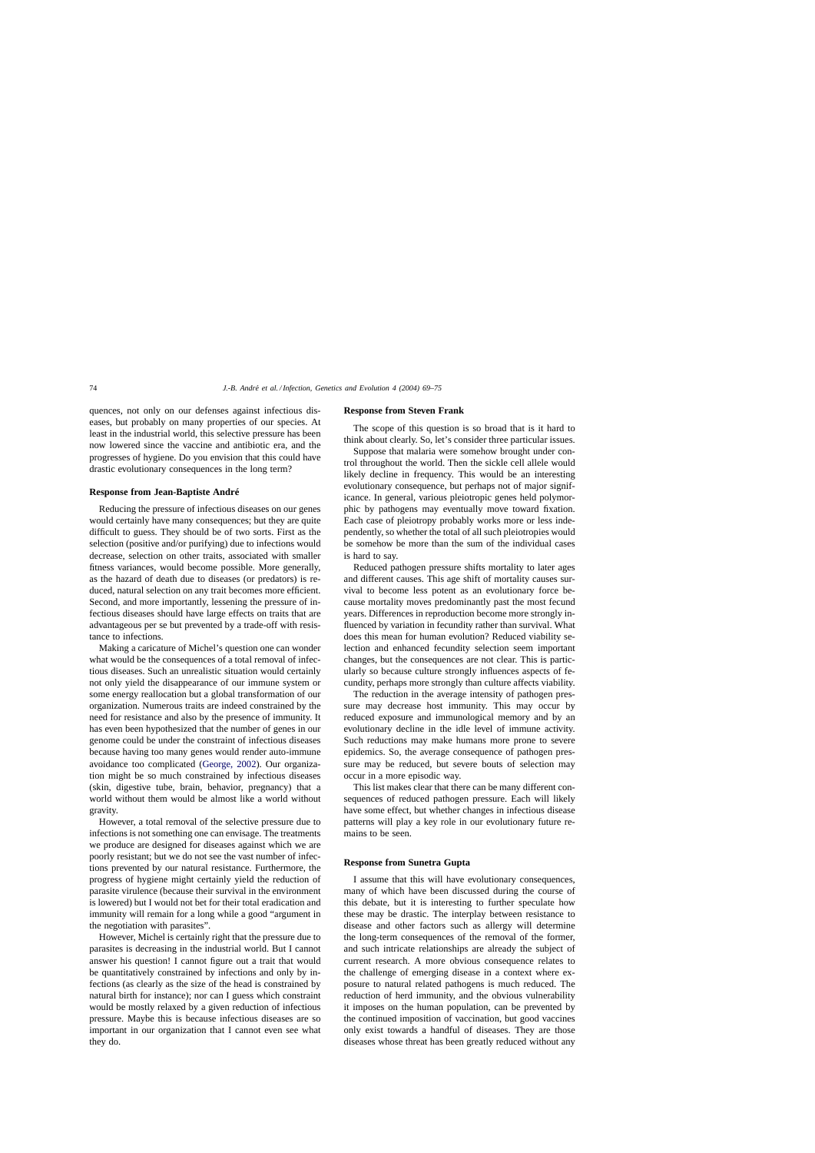quences, not only on our defenses against infectious diseases, but probably on many properties of our species. At least in the industrial world, this selective pressure has been now lowered since the vaccine and antibiotic era, and the progresses of hygiene. Do you envision that this could have drastic evolutionary consequences in the long term?

## **Response from Jean-Baptiste André**

Reducing the pressure of infectious diseases on our genes would certainly have many consequences; but they are quite difficult to guess. They should be of two sorts. First as the selection (positive and/or purifying) due to infections would decrease, selection on other traits, associated with smaller fitness variances, would become possible. More generally, as the hazard of death due to diseases (or predators) is reduced, natural selection on any trait becomes more efficient. Second, and more importantly, lessening the pressure of infectious diseases should have large effects on traits that are advantageous per se but prevented by a trade-off with resistance to infections.

Making a caricature of Michel's question one can wonder what would be the consequences of a total removal of infectious diseases. Such an unrealistic situation would certainly not only yield the disappearance of our immune system or some energy reallocation but a global transformation of our organization. Numerous traits are indeed constrained by the need for resistance and also by the presence of immunity. It has even been hypothesized that the number of genes in our genome could be under the constraint of infectious diseases because having too many genes would render auto-immune avoidance too complicated [\(George, 2002\).](#page-6-0) Our organization might be so much constrained by infectious diseases (skin, digestive tube, brain, behavior, pregnancy) that a world without them would be almost like a world without gravity.

However, a total removal of the selective pressure due to infections is not something one can envisage. The treatments we produce are designed for diseases against which we are poorly resistant; but we do not see the vast number of infections prevented by our natural resistance. Furthermore, the progress of hygiene might certainly yield the reduction of parasite virulence (because their survival in the environment is lowered) but I would not bet for their total eradication and immunity will remain for a long while a good "argument in the negotiation with parasites".

However, Michel is certainly right that the pressure due to parasites is decreasing in the industrial world. But I cannot answer his question! I cannot figure out a trait that would be quantitatively constrained by infections and only by infections (as clearly as the size of the head is constrained by natural birth for instance); nor can I guess which constraint would be mostly relaxed by a given reduction of infectious pressure. Maybe this is because infectious diseases are so important in our organization that I cannot even see what they do.

#### **Response from Steven Frank**

The scope of this question is so broad that is it hard to think about clearly. So, let's consider three particular issues.

Suppose that malaria were somehow brought under control throughout the world. Then the sickle cell allele would likely decline in frequency. This would be an interesting evolutionary consequence, but perhaps not of major significance. In general, various pleiotropic genes held polymorphic by pathogens may eventually move toward fixation. Each case of pleiotropy probably works more or less independently, so whether the total of all such pleiotropies would be somehow be more than the sum of the individual cases is hard to say.

Reduced pathogen pressure shifts mortality to later ages and different causes. This age shift of mortality causes survival to become less potent as an evolutionary force because mortality moves predominantly past the most fecund years. Differences in reproduction become more strongly influenced by variation in fecundity rather than survival. What does this mean for human evolution? Reduced viability selection and enhanced fecundity selection seem important changes, but the consequences are not clear. This is particularly so because culture strongly influences aspects of fecundity, perhaps more strongly than culture affects viability.

The reduction in the average intensity of pathogen pressure may decrease host immunity. This may occur by reduced exposure and immunological memory and by an evolutionary decline in the idle level of immune activity. Such reductions may make humans more prone to severe epidemics. So, the average consequence of pathogen pressure may be reduced, but severe bouts of selection may occur in a more episodic way.

This list makes clear that there can be many different consequences of reduced pathogen pressure. Each will likely have some effect, but whether changes in infectious disease patterns will play a key role in our evolutionary future remains to be seen.

## **Response from Sunetra Gupta**

I assume that this will have evolutionary consequences, many of which have been discussed during the course of this debate, but it is interesting to further speculate how these may be drastic. The interplay between resistance to disease and other factors such as allergy will determine the long-term consequences of the removal of the former, and such intricate relationships are already the subject of current research. A more obvious consequence relates to the challenge of emerging disease in a context where exposure to natural related pathogens is much reduced. The reduction of herd immunity, and the obvious vulnerability it imposes on the human population, can be prevented by the continued imposition of vaccination, but good vaccines only exist towards a handful of diseases. They are those diseases whose threat has been greatly reduced without any